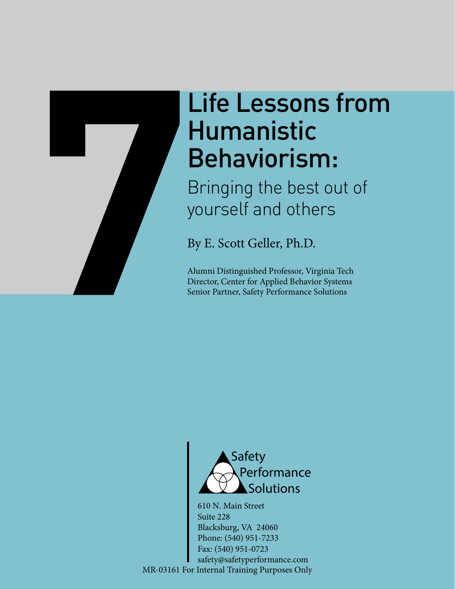

# Life Lessons from Humanistic Behaviorism:

Bringing the best out of yourself and others

By E. Scott Geller, Ph.D.

Alumni Distinguished Professor, Virginia Tech Director, Center for Applied Behavior Systems Senior Partner, Safety Performance Solutions



610 N. Main Street Suite 228 Blacksburg, VA 24060 Phone: (540) 951-7233 Fax: (540) 951-0723 safety@safetyperformance.com MR-03161 For Internal Training Purposes Only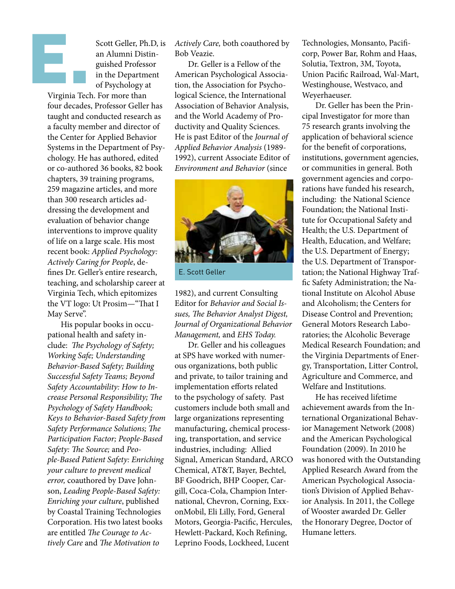Scott Geller, Ph.D, is an Alumni Distinguished Professor in the Department of Psychology at

Virginia Tech. For more than four decades, Professor Geller has taught and conducted research as a faculty member and director of the Center for Applied Behavior Systems in the Department of Psychology. He has authored, edited or co-authored 36 books, 82 book chapters, 39 training programs, 259 magazine articles, and more than 300 research articles addressing the development and evaluation of behavior change interventions to improve quality of life on a large scale. His most recent book: *Applied Psychology: Actively Caring for People*, defines Dr. Geller's entire research, teaching, and scholarship career at Virginia Tech, which epitomizes the VT logo: Ut Prosim—"That I May Serve". E.<br>E. Ministra Tradition

> His popular books in occupational health and safety include: *The Psychology of Safety; Working Safe; Understanding Behavior-Based Safety; Building Successful Safety Teams; Beyond Safety Accountability: How to Increase Personal Responsibility; The Psychology of Safety Handbook; Keys to Behavior-Based Safety from Safety Performance Solutions; The Participation Factor; People-Based Safety: The Source;* and *People-Based Patient Safety: Enriching your culture to prevent medical error,* coauthored by Dave Johnson, *Leading People-Based Safety: Enriching your culture*, published by Coastal Training Technologies Corporation. His two latest books are entitled *The Courage to Actively Care* and *The Motivation to*

*Actively Care,* both coauthored by Bob Veazie.

Dr. Geller is a Fellow of the American Psychological Association, the Association for Psychological Science, the International Association of Behavior Analysis, and the World Academy of Productivity and Quality Sciences. He is past Editor of the *Journal of Applied Behavior Analysis* (1989- 1992), current Associate Editor of *Environment and Behavior* (since



E. Scott Geller

1982), and current Consulting Editor for *Behavior and Social Issues, The Behavior Analyst Digest, Journal of Organizational Behavior Management,* and *EHS Today.*

Dr. Geller and his colleagues at SPS have worked with numerous organizations, both public and private, to tailor training and implementation efforts related to the psychology of safety. Past customers include both small and large organizations representing manufacturing, chemical processing, transportation, and service industries, including: Allied Signal, American Standard, ARCO Chemical, AT&T, Bayer, Bechtel, BF Goodrich, BHP Cooper, Cargill, Coca-Cola, Champion International, Chevron, Corning, ExxonMobil, Eli Lilly, Ford, General Motors, Georgia-Pacific, Hercules, Hewlett-Packard, Koch Refining, Leprino Foods, Lockheed, Lucent

Technologies, Monsanto, Pacificorp, Power Bar, Rohm and Haas, Solutia, Textron, 3M, Toyota, Union Pacific Railroad, Wal-Mart, Westinghouse, Westvaco, and Weyerhaeuser.

Dr. Geller has been the Principal Investigator for more than 75 research grants involving the application of behavioral science for the benefit of corporations, institutions, government agencies, or communities in general. Both government agencies and corporations have funded his research, including: the National Science Foundation; the National Institute for Occupational Safety and Health; the U.S. Department of Health, Education, and Welfare; the U.S. Department of Energy; the U.S. Department of Transportation; the National Highway Traffic Safety Administration; the National Institute on Alcohol Abuse and Alcoholism; the Centers for Disease Control and Prevention; General Motors Research Laboratories; the Alcoholic Beverage Medical Research Foundation; and the Virginia Departments of Energy, Transportation, Litter Control, Agriculture and Commerce, and Welfare and Institutions.

He has received lifetime achievement awards from the International Organizational Behavior Management Network (2008) and the American Psychological Foundation (2009). In 2010 he was honored with the Outstanding Applied Research Award from the American Psychological Association's Division of Applied Behavior Analysis. In 2011, the College of Wooster awarded Dr. Geller the Honorary Degree, Doctor of Humane letters.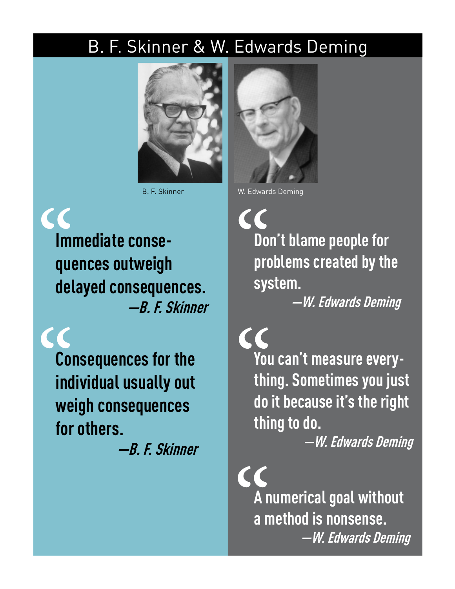### B. F. Skinner & W. Edwards Deming



 $\zeta$ **Immediate consequences outweigh delayed consequences. —B. F. Skinner**

CC<br>Col<br>ind<br>we **Consequences for the individual usually out weigh consequences for others.**

**—B. F. Skinner**



B. F. Skinner W. Edwards Deming

 $\overline{\mathcal{C}}$ **Don't blame people for problems created by the system.**

**—W. Edwards Deming**

 $\begin{matrix} 6 \ \text{You} \\ \text{You} \\ \text{this} \\ \text{do} \\ \vdots \end{matrix}$ **You can't measure everything. Sometimes you just do it because it's the right thing to do.**

**—W. Edwards Deming**

**TT A numerical goal without a method is nonsense. —W. Edwards Deming**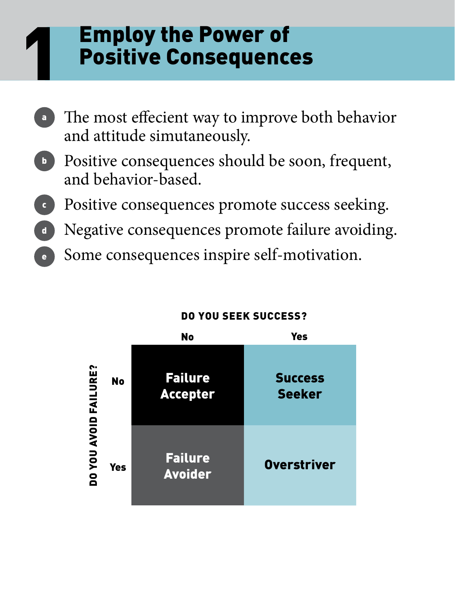### Employ the Power of Positive Consequences

1

- The most effecient way to improve both behavior and attitude simutaneously. a
- Positive consequences should be soon, frequent, and behavior-based. b<sup>b</sup>
- Positive consequences promote success seeking. c
- Negative consequences promote failure avoiding. d
	- Some consequences inspire self-motivation. e



#### DO YOU SEEK SUCCESS?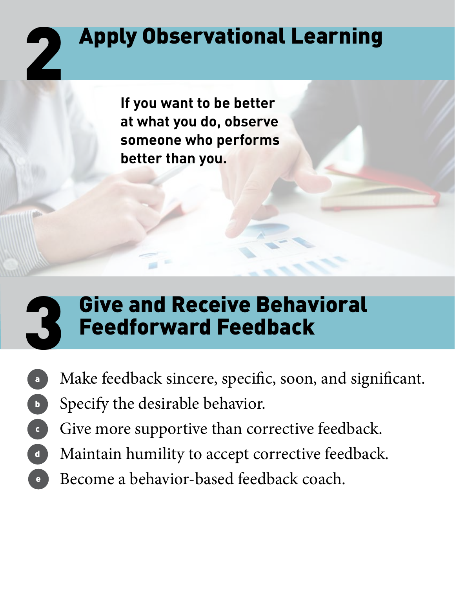# Apply Observational Learning

**If you want to be better at what you do, observe someone who performs better than you.**

2

## Give and Receive Behavioral Feedforward Feedback 3

- Make feedback sincere, specific, soon, and significant. a
- Specify the desirable behavior. b
- Give more supportive than corrective feedback. c
- Maintain humility to accept corrective feedback. d )
- b) Become a behavior-based feedback coach. e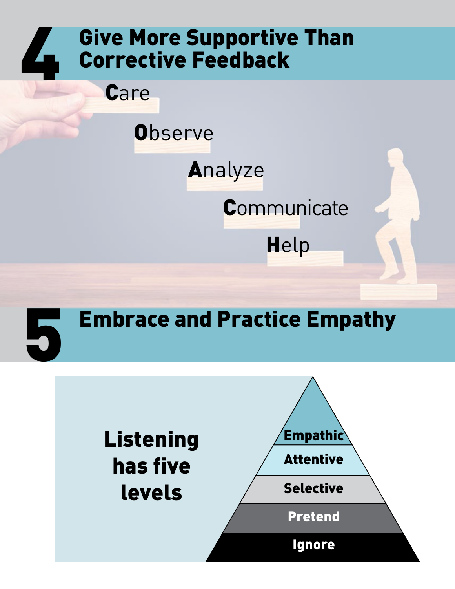### Give More Supportive Than Corrective Feedback **Care** 4

**Observe** 

**Analyze** 

**Communicate** 

**Help** 

## Embrace and Practice Empathy

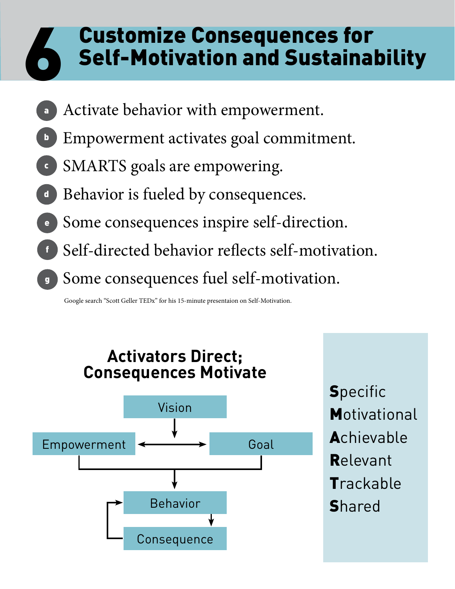### Customize Consequences for Self-Motivation and Sustainability

- Activate behavior with empowerment. a
- Empowerment activates goal commitment. b
- SMARTS goals are empowering. c

6

- Behavior is fueled by consequences. d
- Some consequences inspire self-direction. e
- Self-directed behavior reflects self-motivation. f
- Some consequences fuel self-motivation. g

Google search "Scott Geller TEDx" for his 15-minute presentaion on Self-Motivation.



**Specific Motivational Achievable** Relevant **T**rackable **Shared**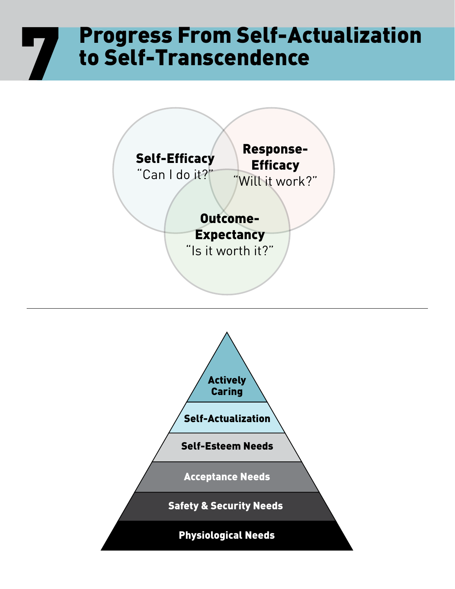#### Progress From Self-Actualization to Self-Transcendence 7